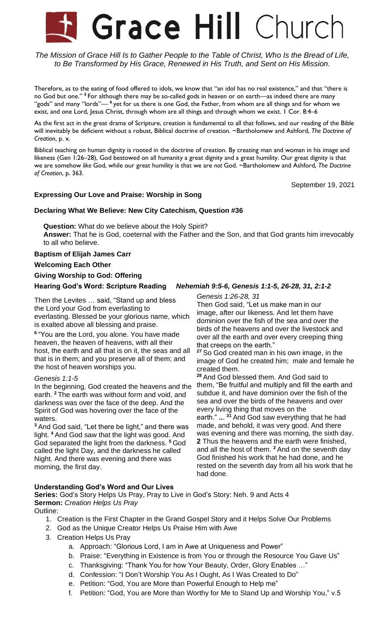# Grace Hill Church

The Mission of Grace Hill Is to Gather People to the Table of Christ, Who Is the Bread of Life, *to Be Transformed by His Grace, Renewed in His Truth, and Sent on His Mission.*

Therefore, as to the eating of food offered to idols, we know that "an idol has no real existence," and that "there is no God but one." **<sup>5</sup>** For although there may be so-called gods in heaven or on earth—as indeed there are many "gods" and many "lords"— **<sup>6</sup>** yet for us there is one God, the Father, from whom are all things and for whom we exist, and one Lord, Jesus Christ, through whom are all things and through whom we exist. I Cor. 8:4-6

As the first act in the great drama of Scripture, creation is fundamental to all that follows, and our reading of the Bible will inevitably be deficient without a robust, Biblical doctrine of creation. ~Bartholomew and Ashford, *The Doctrine of Creation*, p. x.

Biblical teaching on human dignity is rooted in the doctrine of creation. By creating man and woman in his image and likeness (Gen 1:26–28), God bestowed on all humanity a great dignity and a great humility. Our great dignity is that we are somehow *like* God, while our great humility is that we are *not* God. ~Bartholomew and Ashford, *The Doctrine of Creation*, p. 363.

September 19, 2021

### **Expressing Our Love and Praise: Worship in Song**

#### **Declaring What We Believe: New City Catechism, Question #36**

**Question:** What do we believe about the Holy Spirit? **Answer:** That he is God, coeternal with the Father and the Son, and that God grants him irrevocably to all who believe.

**Baptism of Elijah James Carr**

**Welcoming Each Other**

#### **Giving Worship to God: Offering**

#### **Hearing God's Word: Scripture Reading** *Nehemiah 9:5-6, Genesis 1:1-5, 26-28, 31, 2:1-2*

Then the Levites … said, "Stand up and bless the Lord your God from everlasting to everlasting. Blessed be your glorious name, which is exalted above all blessing and praise.

**6** "You are the Lord, you alone. You have made heaven, the heaven of heavens, with all their host, the earth and all that is on it, the seas and all that is in them; and you preserve all of them; and the host of heaven worships you.

#### *Genesis 1:1-5*

In the beginning, God created the heavens and the earth. **<sup>2</sup>** The earth was without form and void, and darkness was over the face of the deep. And the Spirit of God was hovering over the face of the waters.

**<sup>3</sup>** And God said, "Let there be light," and there was light. **<sup>4</sup>** And God saw that the light was good. And God separated the light from the darkness. **<sup>5</sup>** God called the light Day, and the darkness he called Night. And there was evening and there was morning, the first day.

*Genesis 1:26-28, 31*

Then God said, "Let us make man in our image, after our likeness. And let them have dominion over the fish of the sea and over the birds of the heavens and over the livestock and over all the earth and over every creeping thing that creeps on the earth."

**<sup>27</sup>** So God created man in his own image, in the image of God he created him; male and female he created them.

**<sup>28</sup>** And God blessed them. And God said to them, "Be fruitful and multiply and fill the earth and subdue it, and have dominion over the fish of the sea and over the birds of the heavens and over every living thing that moves on the earth." **..**. **<sup>31</sup>** And God saw everything that he had made, and behold, it was very good. And there was evening and there was morning, the sixth day. **2** Thus the heavens and the earth were finished, and all the host of them. **<sup>2</sup>** And on the seventh day God finished his work that he had done, and he rested on the seventh day from all his work that he had done.

#### **Understanding God's Word and Our Lives**

**Series:** God's Story Helps Us Pray, Pray to Live in God's Story: Neh. 9 and Acts 4 **Sermon:** *Creation Helps Us Pray*

Outline:

- 1. Creation is the First Chapter in the Grand Gospel Story and it Helps Solve Our Problems
- 2. God as the Unique Creator Helps Us Praise Him with Awe
- 3. Creation Helps Us Pray
	- a. Approach: "Glorious Lord, I am in Awe at Uniqueness and Power"
	- b. Praise: "Everything in Existence is from You or through the Resource You Gave Us"
	- c. Thanksgiving: "Thank You for how Your Beauty, Order, Glory Enables …"
	- d. Confession: "I Don't Worship You As I Ought, As I Was Created to Do"
	- e. Petition: "God, You are More than Powerful Enough to Help me"
	- f. Petition: "God, You are More than Worthy for Me to Stand Up and Worship You," v.5